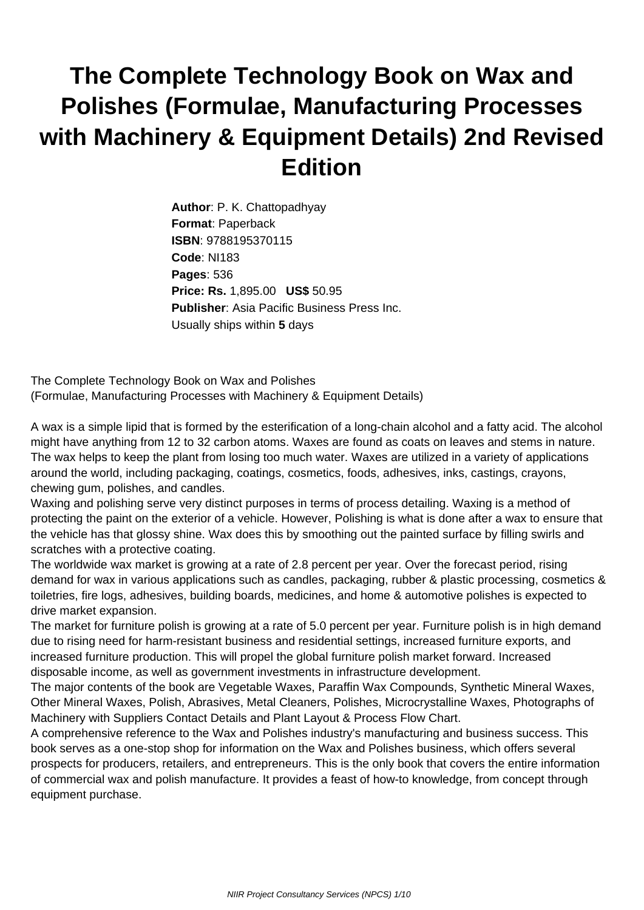## **The Complete Technology Book on Wax and Polishes (Formulae, Manufacturing Processes with Machinery & Equipment Details) 2nd Revised Edition**

**Author**: P. K. Chattopadhyay **Format**: Paperback **ISBN**: 9788195370115 **Code**: NI183 **Pages**: 536 **Price: Rs.** 1,895.00 **US\$** 50.95 **Publisher**: Asia Pacific Business Press Inc. Usually ships within **5** days

The Complete Technology Book on Wax and Polishes (Formulae, Manufacturing Processes with Machinery & Equipment Details)

A wax is a simple lipid that is formed by the esterification of a long-chain alcohol and a fatty acid. The alcohol might have anything from 12 to 32 carbon atoms. Waxes are found as coats on leaves and stems in nature. The wax helps to keep the plant from losing too much water. Waxes are utilized in a variety of applications around the world, including packaging, coatings, cosmetics, foods, adhesives, inks, castings, crayons, chewing gum, polishes, and candles.

Waxing and polishing serve very distinct purposes in terms of process detailing. Waxing is a method of protecting the paint on the exterior of a vehicle. However, Polishing is what is done after a wax to ensure that the vehicle has that glossy shine. Wax does this by smoothing out the painted surface by filling swirls and scratches with a protective coating.

The worldwide wax market is growing at a rate of 2.8 percent per year. Over the forecast period, rising demand for wax in various applications such as candles, packaging, rubber & plastic processing, cosmetics & toiletries, fire logs, adhesives, building boards, medicines, and home & automotive polishes is expected to drive market expansion.

The market for furniture polish is growing at a rate of 5.0 percent per year. Furniture polish is in high demand due to rising need for harm-resistant business and residential settings, increased furniture exports, and increased furniture production. This will propel the global furniture polish market forward. Increased disposable income, as well as government investments in infrastructure development.

The major contents of the book are Vegetable Waxes, Paraffin Wax Compounds, Synthetic Mineral Waxes, Other Mineral Waxes, Polish, Abrasives, Metal Cleaners, Polishes, Microcrystalline Waxes, Photographs of Machinery with Suppliers Contact Details and Plant Layout & Process Flow Chart.

A comprehensive reference to the Wax and Polishes industry's manufacturing and business success. This book serves as a one-stop shop for information on the Wax and Polishes business, which offers several prospects for producers, retailers, and entrepreneurs. This is the only book that covers the entire information of commercial wax and polish manufacture. It provides a feast of how-to knowledge, from concept through equipment purchase.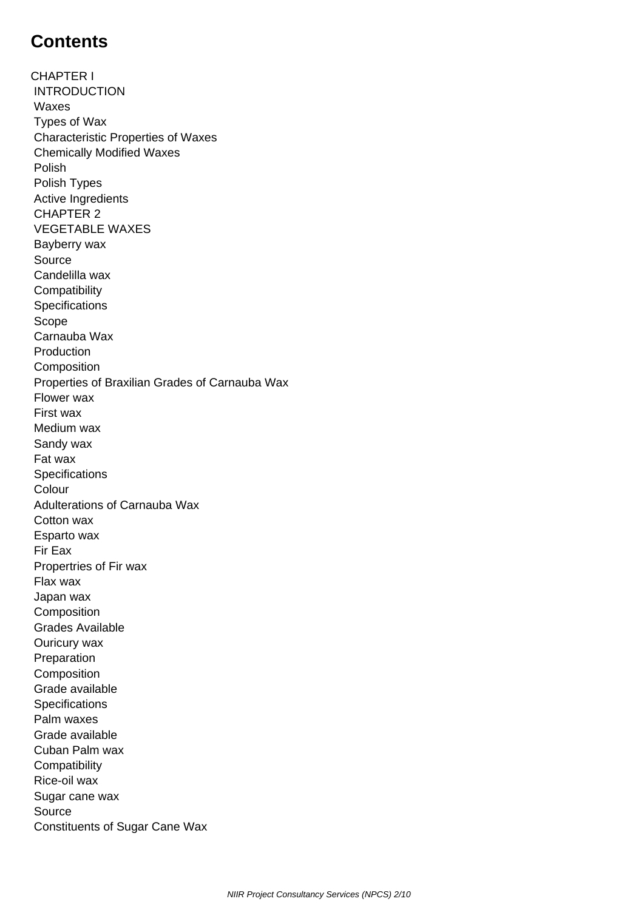## **Contents**

CHAPTER I INTRODUCTION Waxes Types of Wax Characteristic Properties of Waxes Chemically Modified Waxes Polish Polish Types Active Ingredients CHAPTER 2 VEGETABLE WAXES Bayberry wax Source Candelilla wax **Compatibility Specifications**  Scope Carnauba Wax **Production Composition**  Properties of Braxilian Grades of Carnauba Wax Flower wax First wax Medium wax Sandy wax Fat wax **Specifications**  Colour Adulterations of Carnauba Wax Cotton wax Esparto wax Fir Eax Propertries of Fir wax Flax wax Japan wax **Composition**  Grades Available Ouricury wax Preparation Composition Grade available **Specifications**  Palm waxes Grade available Cuban Palm wax **Compatibility**  Rice-oil wax Sugar cane wax Source Constituents of Sugar Cane Wax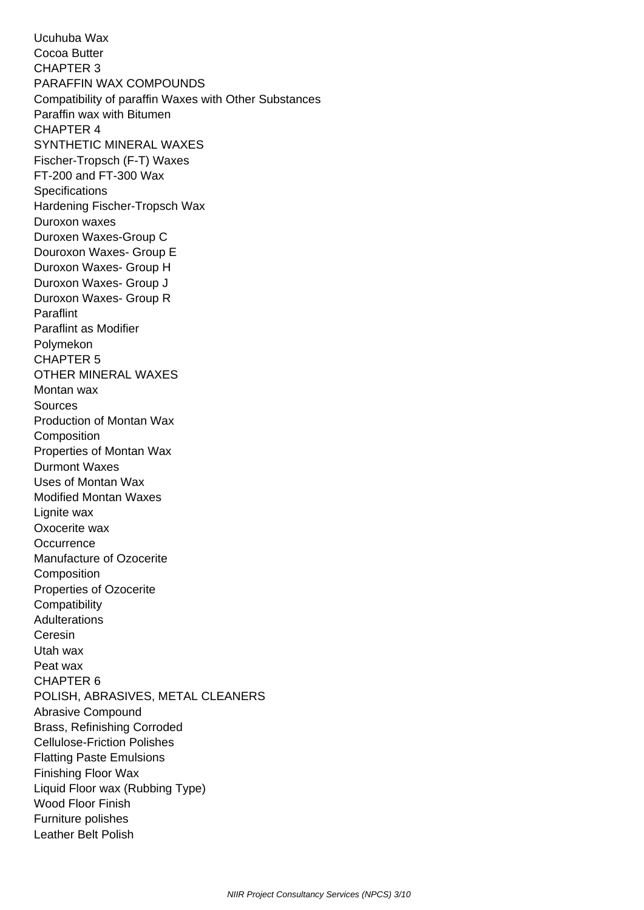Ucuhuba Wax Cocoa Butter CHAPTER 3 PARAFFIN WAX COMPOUNDS Compatibility of paraffin Waxes with Other Substances Paraffin wax with Bitumen CHAPTER 4 SYNTHETIC MINERAL WAXES Fischer-Tropsch (F-T) Waxes FT-200 and FT-300 Wax **Specifications**  Hardening Fischer-Tropsch Wax Duroxon waxes Duroxen Waxes-Group C Douroxon Waxes- Group E Duroxon Waxes- Group H Duroxon Waxes- Group J Duroxon Waxes- Group R Paraflint Paraflint as Modifier Polymekon CHAPTER 5 OTHER MINERAL WAXES Montan wax Sources Production of Montan Wax **Composition**  Properties of Montan Wax Durmont Waxes Uses of Montan Wax Modified Montan Waxes Lignite wax Oxocerite wax **Occurrence**  Manufacture of Ozocerite **Composition**  Properties of Ozocerite **Compatibility Adulterations**  Ceresin Utah wax Peat wax CHAPTER 6 POLISH, ABRASIVES, METAL CLEANERS Abrasive Compound Brass, Refinishing Corroded Cellulose-Friction Polishes Flatting Paste Emulsions Finishing Floor Wax Liquid Floor wax (Rubbing Type) Wood Floor Finish Furniture polishes Leather Belt Polish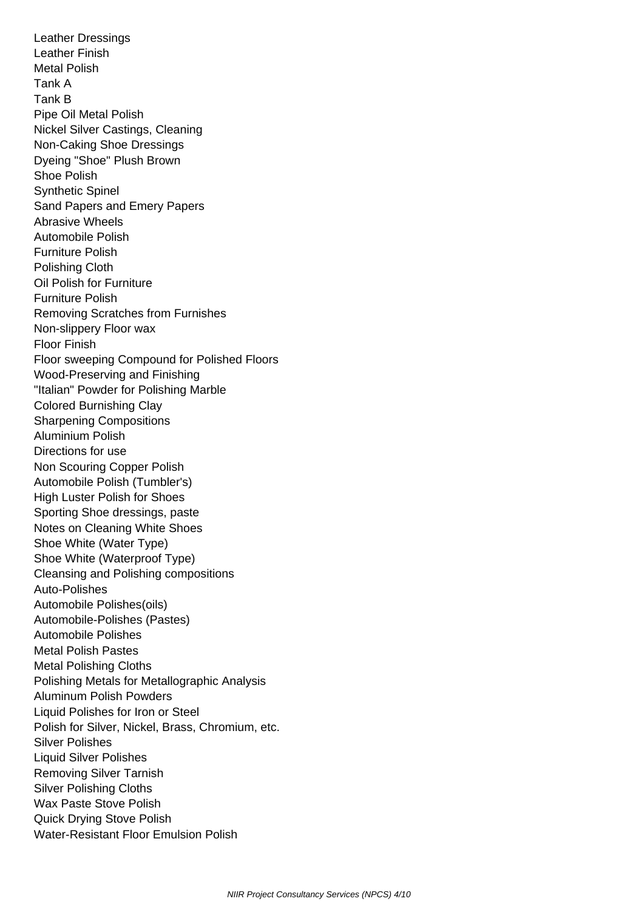Leather Dressings Leather Finish Metal Polish Tank A Tank B Pipe Oil Metal Polish Nickel Silver Castings, Cleaning Non-Caking Shoe Dressings Dyeing "Shoe" Plush Brown Shoe Polish Synthetic Spinel Sand Papers and Emery Papers Abrasive Wheels Automobile Polish Furniture Polish Polishing Cloth Oil Polish for Furniture Furniture Polish Removing Scratches from Furnishes Non-slippery Floor wax Floor Finish Floor sweeping Compound for Polished Floors Wood-Preserving and Finishing "Italian" Powder for Polishing Marble Colored Burnishing Clay Sharpening Compositions Aluminium Polish Directions for use Non Scouring Copper Polish Automobile Polish (Tumbler's) High Luster Polish for Shoes Sporting Shoe dressings, paste Notes on Cleaning White Shoes Shoe White (Water Type) Shoe White (Waterproof Type) Cleansing and Polishing compositions Auto-Polishes Automobile Polishes(oils) Automobile-Polishes (Pastes) Automobile Polishes Metal Polish Pastes Metal Polishing Cloths Polishing Metals for Metallographic Analysis Aluminum Polish Powders Liquid Polishes for Iron or Steel Polish for Silver, Nickel, Brass, Chromium, etc. Silver Polishes Liquid Silver Polishes Removing Silver Tarnish Silver Polishing Cloths Wax Paste Stove Polish Quick Drying Stove Polish Water-Resistant Floor Emulsion Polish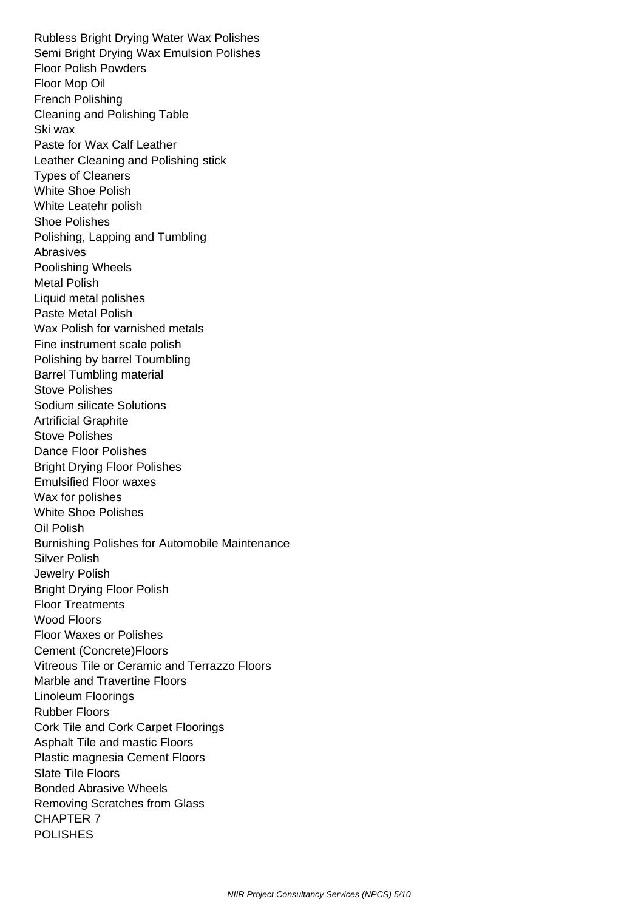Rubless Bright Drying Water Wax Polishes Semi Bright Drying Wax Emulsion Polishes Floor Polish Powders Floor Mop Oil French Polishing Cleaning and Polishing Table Ski wax Paste for Wax Calf Leather Leather Cleaning and Polishing stick Types of Cleaners White Shoe Polish White Leatehr polish Shoe Polishes Polishing, Lapping and Tumbling Abrasives Poolishing Wheels Metal Polish Liquid metal polishes Paste Metal Polish Wax Polish for varnished metals Fine instrument scale polish Polishing by barrel Toumbling Barrel Tumbling material Stove Polishes Sodium silicate Solutions Artrificial Graphite Stove Polishes Dance Floor Polishes Bright Drying Floor Polishes Emulsified Floor waxes Wax for polishes White Shoe Polishes Oil Polish Burnishing Polishes for Automobile Maintenance Silver Polish Jewelry Polish Bright Drying Floor Polish Floor Treatments Wood Floors Floor Waxes or Polishes Cement (Concrete)Floors Vitreous Tile or Ceramic and Terrazzo Floors Marble and Travertine Floors Linoleum Floorings Rubber Floors Cork Tile and Cork Carpet Floorings Asphalt Tile and mastic Floors Plastic magnesia Cement Floors Slate Tile Floors Bonded Abrasive Wheels Removing Scratches from Glass CHAPTER 7 **POLISHES**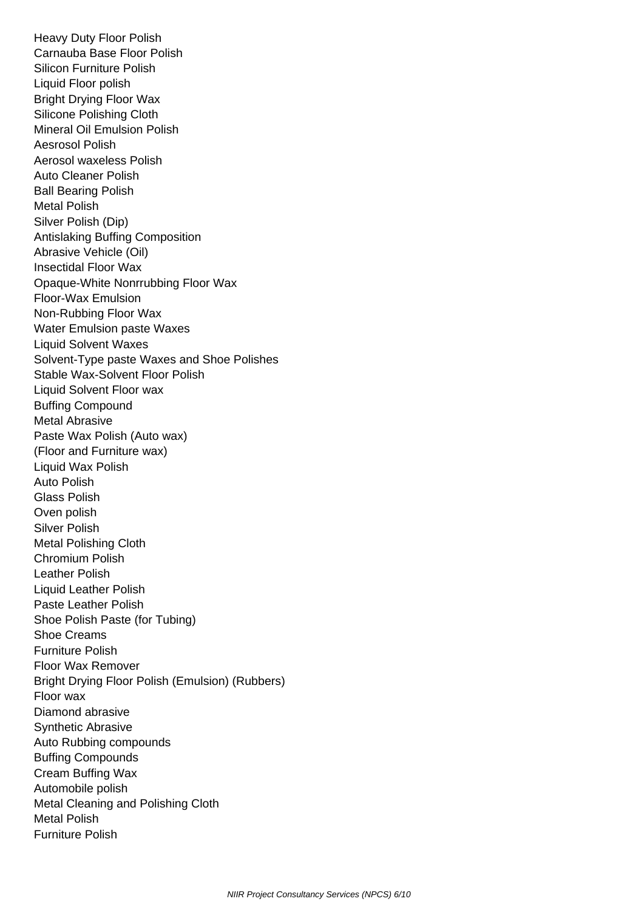Heavy Duty Floor Polish Carnauba Base Floor Polish Silicon Furniture Polish Liquid Floor polish Bright Drying Floor Wax Silicone Polishing Cloth Mineral Oil Emulsion Polish Aesrosol Polish Aerosol waxeless Polish Auto Cleaner Polish Ball Bearing Polish Metal Polish Silver Polish (Dip) Antislaking Buffing Composition Abrasive Vehicle (Oil) Insectidal Floor Wax Opaque-White Nonrrubbing Floor Wax Floor-Wax Emulsion Non-Rubbing Floor Wax Water Emulsion paste Waxes Liquid Solvent Waxes Solvent-Type paste Waxes and Shoe Polishes Stable Wax-Solvent Floor Polish Liquid Solvent Floor wax Buffing Compound Metal Abrasive Paste Wax Polish (Auto wax) (Floor and Furniture wax) Liquid Wax Polish Auto Polish Glass Polish Oven polish Silver Polish Metal Polishing Cloth Chromium Polish Leather Polish Liquid Leather Polish Paste Leather Polish Shoe Polish Paste (for Tubing) Shoe Creams Furniture Polish Floor Wax Remover Bright Drying Floor Polish (Emulsion) (Rubbers) Floor wax Diamond abrasive Synthetic Abrasive Auto Rubbing compounds Buffing Compounds Cream Buffing Wax Automobile polish Metal Cleaning and Polishing Cloth Metal Polish Furniture Polish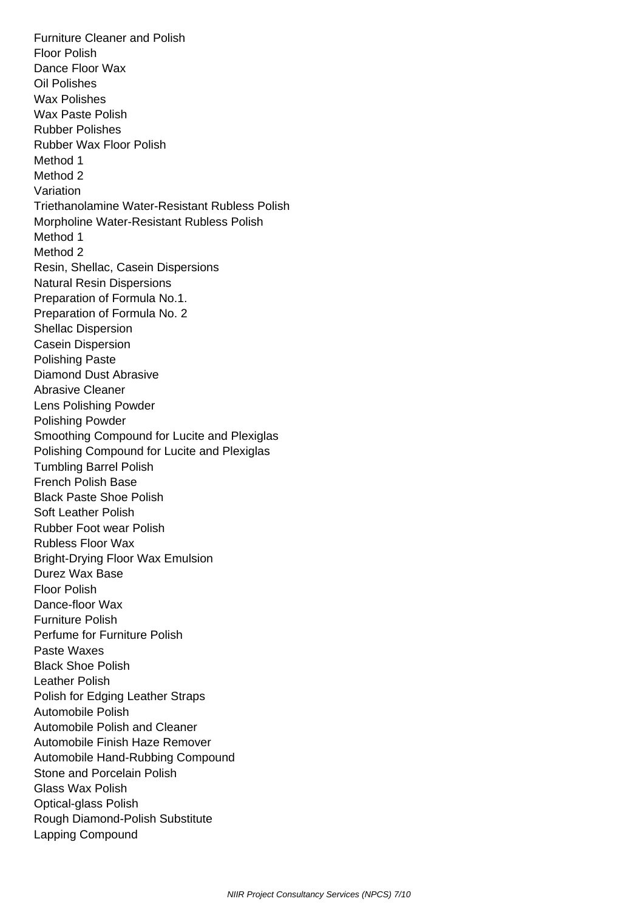Furniture Cleaner and Polish Floor Polish Dance Floor Wax Oil Polishes Wax Polishes Wax Paste Polish Rubber Polishes Rubber Wax Floor Polish Method 1 Method 2 Variation Triethanolamine Water-Resistant Rubless Polish Morpholine Water-Resistant Rubless Polish Method 1 Method 2 Resin, Shellac, Casein Dispersions Natural Resin Dispersions Preparation of Formula No.1. Preparation of Formula No. 2 Shellac Dispersion Casein Dispersion Polishing Paste Diamond Dust Abrasive Abrasive Cleaner Lens Polishing Powder Polishing Powder Smoothing Compound for Lucite and Plexiglas Polishing Compound for Lucite and Plexiglas Tumbling Barrel Polish French Polish Base Black Paste Shoe Polish Soft Leather Polish Rubber Foot wear Polish Rubless Floor Wax Bright-Drying Floor Wax Emulsion Durez Wax Base Floor Polish Dance-floor Wax Furniture Polish Perfume for Furniture Polish Paste Waxes Black Shoe Polish Leather Polish Polish for Edging Leather Straps Automobile Polish Automobile Polish and Cleaner Automobile Finish Haze Remover Automobile Hand-Rubbing Compound Stone and Porcelain Polish Glass Wax Polish Optical-glass Polish Rough Diamond-Polish Substitute Lapping Compound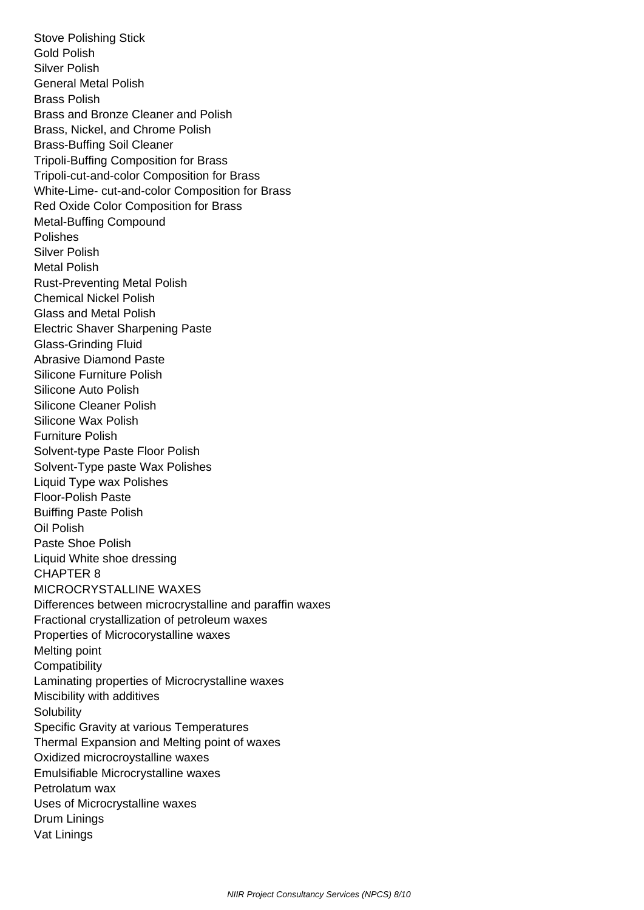Stove Polishing Stick Gold Polish Silver Polish General Metal Polish Brass Polish Brass and Bronze Cleaner and Polish Brass, Nickel, and Chrome Polish Brass-Buffing Soil Cleaner Tripoli-Buffing Composition for Brass Tripoli-cut-and-color Composition for Brass White-Lime- cut-and-color Composition for Brass Red Oxide Color Composition for Brass Metal-Buffing Compound Polishes Silver Polish Metal Polish Rust-Preventing Metal Polish Chemical Nickel Polish Glass and Metal Polish Electric Shaver Sharpening Paste Glass-Grinding Fluid Abrasive Diamond Paste Silicone Furniture Polish Silicone Auto Polish Silicone Cleaner Polish Silicone Wax Polish Furniture Polish Solvent-type Paste Floor Polish Solvent-Type paste Wax Polishes Liquid Type wax Polishes Floor-Polish Paste Buiffing Paste Polish Oil Polish Paste Shoe Polish Liquid White shoe dressing CHAPTER 8 MICROCRYSTALLINE WAXES Differences between microcrystalline and paraffin waxes Fractional crystallization of petroleum waxes Properties of Microcorystalline waxes Melting point **Compatibility**  Laminating properties of Microcrystalline waxes Miscibility with additives **Solubility**  Specific Gravity at various Temperatures Thermal Expansion and Melting point of waxes Oxidized microcroystalline waxes Emulsifiable Microcrystalline waxes Petrolatum wax Uses of Microcrystalline waxes Drum Linings Vat Linings